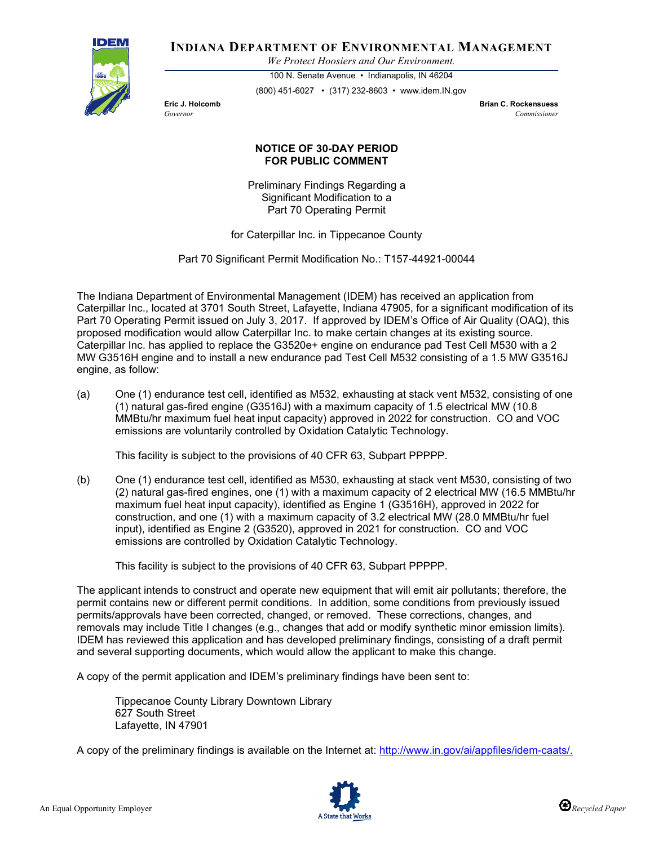

**INDIANA DEPARTMENT OF ENVIRONMENTAL MANAGEMENT**

*We Protect Hoosiers and Our Environment.*

100 N. Senate Avenue • Indianapolis, IN 46204 (800) 451-6027 • (317) 232-8603 • www.idem.IN.gov

**Eric J. Holcomb Brian C. Rockensuess** *Governor Commissioner* 

## **NOTICE OF 30-DAY PERIOD FOR PUBLIC COMMENT**

Preliminary Findings Regarding a Significant Modification to a Part 70 Operating Permit

for Caterpillar Inc. in Tippecanoe County

Part 70 Significant Permit Modification No.: T157-44921-00044

The Indiana Department of Environmental Management (IDEM) has received an application from Caterpillar Inc., located at 3701 South Street, Lafayette, Indiana 47905, for a significant modification of its Part 70 Operating Permit issued on July 3, 2017. If approved by IDEM's Office of Air Quality (OAQ), this proposed modification would allow Caterpillar Inc. to make certain changes at its existing source. Caterpillar Inc. has applied to replace the G3520e+ engine on endurance pad Test Cell M530 with a 2 MW G3516H engine and to install a new endurance pad Test Cell M532 consisting of a 1.5 MW G3516J engine, as follow:

(a) One (1) endurance test cell, identified as M532, exhausting at stack vent M532, consisting of one (1) natural gas-fired engine (G3516J) with a maximum capacity of 1.5 electrical MW (10.8 MMBtu/hr maximum fuel heat input capacity) approved in 2022 for construction. CO and VOC emissions are voluntarily controlled by Oxidation Catalytic Technology.

This facility is subject to the provisions of 40 CFR 63, Subpart PPPPP.

(b) One (1) endurance test cell, identified as M530, exhausting at stack vent M530, consisting of two (2) natural gas-fired engines, one (1) with a maximum capacity of 2 electrical MW (16.5 MMBtu/hr maximum fuel heat input capacity), identified as Engine 1 (G3516H), approved in 2022 for construction, and one (1) with a maximum capacity of 3.2 electrical MW (28.0 MMBtu/hr fuel input), identified as Engine 2 (G3520), approved in 2021 for construction. CO and VOC emissions are controlled by Oxidation Catalytic Technology.

This facility is subject to the provisions of 40 CFR 63, Subpart PPPPP.

The applicant intends to construct and operate new equipment that will emit air pollutants; therefore, the permit contains new or different permit conditions. In addition, some conditions from previously issued permits/approvals have been corrected, changed, or removed. These corrections, changes, and removals may include Title I changes (e.g., changes that add or modify synthetic minor emission limits). IDEM has reviewed this application and has developed preliminary findings, consisting of a draft permit and several supporting documents, which would allow the applicant to make this change.

A copy of the permit application and IDEM's preliminary findings have been sent to:

Tippecanoe County Library Downtown Library 627 South Street Lafayette, IN 47901

A copy of the preliminary findings is available on the Internet at: [http://www.in.gov/ai/appfiles/idem-caats/.](http://www.in.gov/ai/appfiles/idem-caats/)

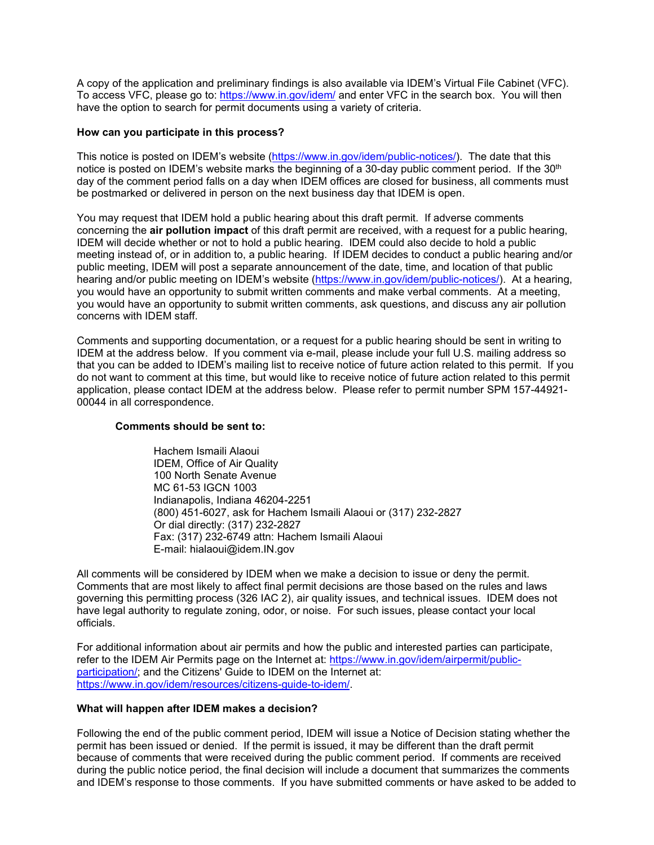A copy of the application and preliminary findings is also available via IDEM's Virtual File Cabinet (VFC). To access VFC, please go to:<https://www.in.gov/idem/> and enter VFC in the search box. You will then have the option to search for permit documents using a variety of criteria.

## **How can you participate in this process?**

This notice is posted on IDEM's website [\(https://www.in.gov/idem/public-notices/\)](https://www.in.gov/idem/public-notices/). The date that this notice is posted on IDEM's website marks the beginning of a 30-day public comment period. If the 30<sup>th</sup> day of the comment period falls on a day when IDEM offices are closed for business, all comments must be postmarked or delivered in person on the next business day that IDEM is open.

You may request that IDEM hold a public hearing about this draft permit. If adverse comments concerning the **air pollution impact** of this draft permit are received, with a request for a public hearing, IDEM will decide whether or not to hold a public hearing. IDEM could also decide to hold a public meeting instead of, or in addition to, a public hearing. If IDEM decides to conduct a public hearing and/or public meeting, IDEM will post a separate announcement of the date, time, and location of that public hearing and/or public meeting on IDEM's website [\(https://www.in.gov/idem/public-notices/\)](https://www.in.gov/idem/public-notices/). At a hearing, you would have an opportunity to submit written comments and make verbal comments. At a meeting, you would have an opportunity to submit written comments, ask questions, and discuss any air pollution concerns with IDEM staff.

Comments and supporting documentation, or a request for a public hearing should be sent in writing to IDEM at the address below. If you comment via e-mail, please include your full U.S. mailing address so that you can be added to IDEM's mailing list to receive notice of future action related to this permit. If you do not want to comment at this time, but would like to receive notice of future action related to this permit application, please contact IDEM at the address below. Please refer to permit number SPM 157-44921- 00044 in all correspondence.

## **Comments should be sent to:**

Hachem Ismaili Alaoui IDEM, Office of Air Quality 100 North Senate Avenue MC 61-53 IGCN 1003 Indianapolis, Indiana 46204-2251 (800) 451-6027, ask for Hachem Ismaili Alaoui or (317) 232-2827 Or dial directly: (317) 232-2827 Fax: (317) 232-6749 attn: Hachem Ismaili Alaoui E-mail: hialaoui@idem.IN.gov

All comments will be considered by IDEM when we make a decision to issue or deny the permit. Comments that are most likely to affect final permit decisions are those based on the rules and laws governing this permitting process (326 IAC 2), air quality issues, and technical issues. IDEM does not have legal authority to regulate zoning, odor, or noise. For such issues, please contact your local officials.

For additional information about air permits and how the public and interested parties can participate, refer to the IDEM Air Permits page on the Internet at: [https://www.in.gov/idem/airpermit/public](https://www.in.gov/idem/airpermit/public-participation/)[participation/;](https://www.in.gov/idem/airpermit/public-participation/) and the Citizens' Guide to IDEM on the Internet at: [https://www.in.gov/idem/resources/citizens-guide-to-idem/.](https://www.in.gov/idem/resources/citizens-guide-to-idem/)

## **What will happen after IDEM makes a decision?**

Following the end of the public comment period, IDEM will issue a Notice of Decision stating whether the permit has been issued or denied. If the permit is issued, it may be different than the draft permit because of comments that were received during the public comment period. If comments are received during the public notice period, the final decision will include a document that summarizes the comments and IDEM's response to those comments. If you have submitted comments or have asked to be added to